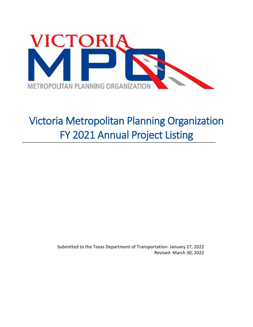

# Victoria Metropolitan Planning Organization FY 2021 Annual Project Listing

Submitted to the Texas Department of Transportation- January 27, 2022 Revised- March 30, 2022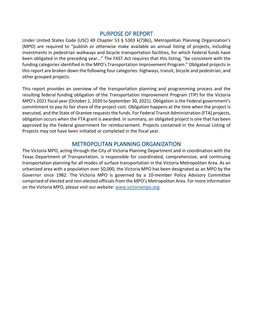#### PURPOSE OF REPORT

Under United States Code (USC) 49 Chapter 53 § 5303 k(7)B(i), Metropolitan Planning Organization's (MPO) are required to "publish or otherwise make available an annual listing of projects, including investments in pedestrian walkways and bicycle transportation facilities, for which Federal funds have been obligated in the preceding year..." The FAST Act requires that this listing, "be consistent with the funding categories identified in the MPO's Transportation Improvement Program." Obligated projects in this report are broken down the following four categories: highways, transit, bicycle and pedestrian, and other grouped projects.

This report provides an overview of the transportation planning and programming process and the resulting federal funding obligation of the Transportation Improvement Program (TIP) for the Victoria MPO's 2021 fiscal year (October 1, 2020 to September 30, 2021). Obligation is the Federal government's commitment to pay its fair share of the project cost. Obligation happens at the time when the project is executed, and the State of Grantee requests the funds. For Federal Transit Administration (FTA) projects, obligation occurs when the FTA grant is awarded. In summary, an obligated project is one that has been approved by the Federal government for reimbursement. Projects contained in the Annual Listing of Projects may not have been initiated or completed in the fiscal year.

#### METROPOLITAN PLANNING ORGANIZATION

The Victoria MPO, acting through the City of Victoria Planning Department and in coordination with the Texas Department of Transportation, is responsible for coordinated, comprehensive, and continuing transportation planning for all modes of surface transportation in the Victoria Metropolitan Area. As an urbanized area with a population over 50,000, the Victoria MPO has been designated as an MPO by the Governor since 1982. The Victoria MPO is governed by a 10-member Policy Advisory Committee comprised of elected and non-elected officials from the MPO's Metropolitan Area. For more information on the Victoria MPO, please visit our website: [www.victoriampo.org.](http://www.victoriampo.org/)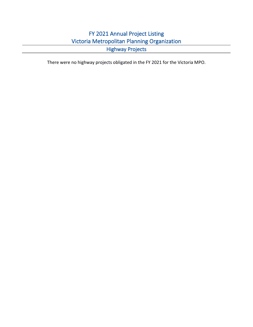### FY 2021 Annual Project Listing Victoria Metropolitan Planning Organization Highway Projects

There were no highway projects obligated in the FY 2021 for the Victoria MPO.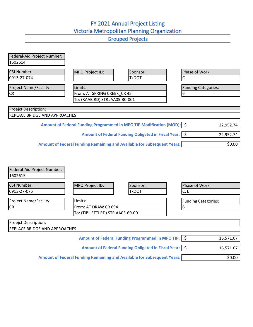# FY 2021 Annual Project Listing Victoria Metropolitan Planning Organization

|                                        |                                                                                | <b>OI UUDUU TIUJULU</b>                                  |                            |           |
|----------------------------------------|--------------------------------------------------------------------------------|----------------------------------------------------------|----------------------------|-----------|
| Federal-Aid Project Number:<br>1602614 |                                                                                |                                                          |                            |           |
| <b>CSJ Number:</b><br>0913-27-074      | MPO Project ID:                                                                | Sponsor:<br><b>TxDOT</b>                                 | Phase of Work:             |           |
| <b>Project Name/Facility:</b>          | Limits:                                                                        |                                                          | <b>Funding Categories:</b> |           |
| <b>CR</b>                              | From: AT SPRING CREEK CR 45                                                    |                                                          | 6                          |           |
|                                        | To: (RAAB RD) STR#AA05-30-001                                                  |                                                          |                            |           |
| Proejct Description:                   |                                                                                |                                                          |                            |           |
| <b>REPLACE BRIDGE AND APPROACHES</b>   |                                                                                |                                                          |                            |           |
|                                        | Amount of Federal Funding Programmed in MPO TIP Modification (MOD):   \$       |                                                          |                            | 22,952.74 |
|                                        |                                                                                | Amount of Federal Funding Obligated in Fiscal Year:   \$ |                            | 22,952.74 |
|                                        | <b>Amount of Federal Funding Remaining and Available for Subsequent Years:</b> |                                                          |                            | \$0.00    |
|                                        |                                                                                |                                                          |                            |           |

| Federal-Aid Project Number:<br>1602615 |                                                                         |                                                          |                            |           |
|----------------------------------------|-------------------------------------------------------------------------|----------------------------------------------------------|----------------------------|-----------|
| <b>CSJ Number:</b><br>0913-27-075      | MPO Project ID:                                                         | Sponsor:<br><b>TxDOT</b>                                 | Phase of Work:<br>C, E     |           |
| <b>Project Name/Facility:</b>          | Limits:                                                                 |                                                          | <b>Funding Categories:</b> |           |
| <b>CR</b>                              | From: AT DRAW CR 694                                                    |                                                          | 6                          |           |
|                                        | To: (TIBILETTI RD) STR AA03-69-001                                      |                                                          |                            |           |
| Proejct Description:                   |                                                                         |                                                          |                            |           |
| <b>REPLACE BRIDGE AND APPROACHES</b>   |                                                                         |                                                          |                            |           |
|                                        |                                                                         | Amount of Federal Funding Programmed in MPO TIP:   \$    |                            | 16,571.67 |
|                                        |                                                                         | Amount of Federal Funding Obligated in Fiscal Year:   \$ |                            | 16,571.67 |
|                                        | Amount of Federal Funding Remaining and Available for Subsequent Years: |                                                          |                            | \$0.00    |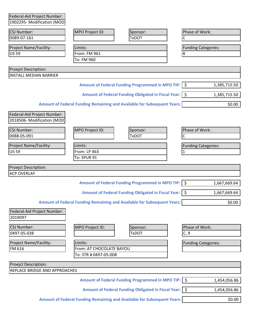| Federal-Aid Project Number:            |                                                   |                                                                                |                            |              |
|----------------------------------------|---------------------------------------------------|--------------------------------------------------------------------------------|----------------------------|--------------|
| 1902295- Modification (MOD)            |                                                   |                                                                                |                            |              |
| <b>CSJ Number:</b>                     | MPO Project ID:                                   | Sponsor:                                                                       | Phase of Work:             |              |
| 0089-07-161                            |                                                   | <b>TxDOT</b>                                                                   | C                          |              |
| Project Name/Facility:                 | Limits:                                           |                                                                                | <b>Funding Categories:</b> |              |
| <b>US 59</b>                           | From: FM 961                                      |                                                                                | 8                          |              |
|                                        | To: FM 960                                        |                                                                                |                            |              |
| Proejct Description:                   |                                                   |                                                                                |                            |              |
| <b>INSTALL MEDIAN BARRIER</b>          |                                                   |                                                                                |                            |              |
|                                        |                                                   | Amount of Federal Funding Programmed in MPO TIP:   \$                          |                            | 1,385,715.50 |
|                                        |                                                   | Amount of Federal Funding Obligated in Fiscal Year:   \$                       |                            | 1,385,715.50 |
|                                        |                                                   | Amount of Federal Funding Remaining and Available for Subsequent Years:        |                            | \$0.00       |
| Federal-Aid Project Number:            |                                                   |                                                                                |                            |              |
| 2018506- Modification (MOD             |                                                   |                                                                                |                            |              |
| CSJ Number:                            | MPO Project ID:                                   | Sponsor:                                                                       | Phase of Work:             |              |
| 0088-05-091                            |                                                   | <b>TxDOT</b>                                                                   | С                          |              |
| Project Name/Facility:                 | Limits:                                           |                                                                                | <b>Funding Categories:</b> |              |
| <b>US 59</b>                           | From: LP 463                                      |                                                                                | 1                          |              |
|                                        | To: SPUR 91                                       |                                                                                |                            |              |
| Proejct Description:                   |                                                   |                                                                                |                            |              |
| <b>ACP OVERLAY</b>                     |                                                   |                                                                                |                            |              |
|                                        |                                                   | Amount of Federal Funding Programmed in MPO TIP:   \$                          |                            | 1,667,669.64 |
|                                        |                                                   | Amount of Federal Funding Obligated in Fiscal Year:   \$                       |                            | 1,667,669.64 |
|                                        |                                                   | <b>Amount of Federal Funding Remaining and Available for Subsequent Years:</b> |                            | \$0.00       |
| Federal-Aid Project Number:<br>2019097 |                                                   |                                                                                |                            |              |
|                                        |                                                   |                                                                                |                            |              |
| <b>CSJ Number:</b><br>0497-05-038      | MPO Project ID:                                   | Sponsor:                                                                       | Phase of Work:             |              |
|                                        |                                                   | <b>TxDOT</b>                                                                   | C, R                       |              |
| <b>Project Name/Facility:</b>          | Limits:                                           |                                                                                | <b>Funding Categories:</b> |              |
| FM 616                                 | From: AT CHOCOLATE BAYOU<br>To: STR # 0497-05-008 |                                                                                |                            |              |
|                                        |                                                   |                                                                                |                            |              |
| Proejct Description:                   |                                                   |                                                                                |                            |              |
| REPLACE BRIDGE AND APPROACHES          |                                                   |                                                                                |                            |              |
|                                        |                                                   | Amount of Federal Funding Programmed in MPO TIP: \$                            |                            | 1,454,056.86 |
|                                        |                                                   | Amount of Federal Funding Obligated in Fiscal Year:   \$                       |                            | 1,454,056.86 |
|                                        |                                                   | <b>Amount of Federal Funding Remaining and Available for Subsequent Years:</b> |                            | \$0.00       |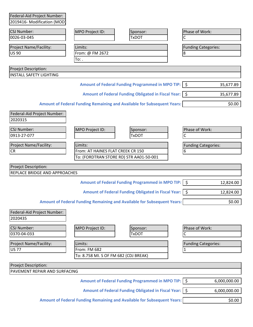| 2019416- Modification (MOD)                                         |                                       |                                                                                |              |                            |
|---------------------------------------------------------------------|---------------------------------------|--------------------------------------------------------------------------------|--------------|----------------------------|
| <b>CSJ Number:</b>                                                  | MPO Project ID:                       | Sponsor:                                                                       |              | Phase of Work:             |
| 0026-03-045                                                         |                                       | <b>TxDOT</b>                                                                   | C            |                            |
| Project Name/Facility:                                              | Limits:                               |                                                                                |              | <b>Funding Categories:</b> |
| US 90                                                               | From: @ FM 2672                       |                                                                                | 8            |                            |
|                                                                     | To: .                                 |                                                                                |              |                            |
| Proejct Description:                                                |                                       |                                                                                |              |                            |
| <b>INSTALL SAFETY LIGHTING</b>                                      |                                       |                                                                                |              |                            |
|                                                                     |                                       | Amount of Federal Funding Programmed in MPO TIP:   \$                          |              | 35,677.89                  |
|                                                                     |                                       | Amount of Federal Funding Obligated in Fiscal Year:   \$                       |              | 35,677.89                  |
|                                                                     |                                       | Amount of Federal Funding Remaining and Available for Subsequent Years:        |              | \$0.00                     |
| Federal-Aid Project Number:<br>2020315                              |                                       |                                                                                |              |                            |
| CSJ Number:                                                         | MPO Project ID:                       | Sponsor:                                                                       |              | Phase of Work:             |
| 0913-27-077                                                         |                                       | <b>TxDOT</b>                                                                   | $\mathsf{C}$ |                            |
| Project Name/Facility:                                              | Limits:                               |                                                                                |              | <b>Funding Categories:</b> |
| <b>CR</b>                                                           | From: AT HAINES FLAT CREEK CR 150     |                                                                                | 6            |                            |
|                                                                     |                                       | To: (FORDTRAN STORE RD) STR AA01-50-001                                        |              |                            |
|                                                                     |                                       |                                                                                |              |                            |
|                                                                     |                                       |                                                                                |              |                            |
| <b>Proejct Description:</b><br><b>REPLACE BRIDGE AND APPROACHES</b> |                                       |                                                                                |              |                            |
|                                                                     |                                       | Amount of Federal Funding Programmed in MPO TIP:   \$                          |              | 12,824.00                  |
|                                                                     |                                       | Amount of Federal Funding Obligated in Fiscal Year:   \$                       |              | 12,824.00                  |
|                                                                     |                                       | <b>Amount of Federal Funding Remaining and Available for Subsequent Years:</b> |              | \$0.00                     |
| Federal-Aid Project Number:                                         |                                       |                                                                                |              |                            |
| 2020435                                                             |                                       |                                                                                |              |                            |
| <b>CSJ Number:</b>                                                  | MPO Project ID:                       | Sponsor:                                                                       |              | Phase of Work:             |
| 0370-04-033                                                         |                                       | <b>TxDOT</b>                                                                   | C            |                            |
|                                                                     |                                       |                                                                                |              |                            |
| Project Name/Facility:<br><b>US77</b>                               | Limits:<br>From: FM 682               |                                                                                | $\mathbf{1}$ | <b>Funding Categories:</b> |
|                                                                     | To: 8.758 MI. S OF FM 682 (CDJ BREAK) |                                                                                |              |                            |
|                                                                     |                                       |                                                                                |              |                            |
| Proejct Description:<br>PAVEMENT REPAIR AND SURFACING               |                                       |                                                                                |              |                            |
|                                                                     |                                       | Amount of Federal Funding Programmed in MPO TIP:   \$                          |              | 6,000,000.00               |
|                                                                     |                                       | Amount of Federal Funding Obligated in Fiscal Year:   \$                       |              | 6,000,000.00               |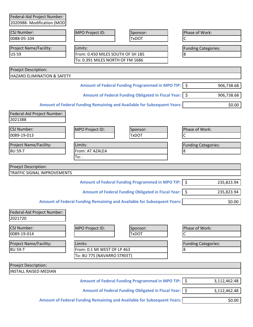| 2020988- Modification (MOD)            |                                                                       |                                                                                |                            |
|----------------------------------------|-----------------------------------------------------------------------|--------------------------------------------------------------------------------|----------------------------|
| <b>CSJ Number:</b>                     | MPO Project ID:                                                       | Sponsor:                                                                       | Phase of Work:             |
| 0088-05-104                            |                                                                       | <b>TxDOT</b>                                                                   | C                          |
|                                        |                                                                       |                                                                                |                            |
| Project Name/Facility:<br><b>US 59</b> | Limits:                                                               |                                                                                | <b>Funding Categories:</b> |
|                                        | From: 0.450 MILES SOUTH OF SH 185<br>To: 0.391 MILES NORTH OF FM 1686 |                                                                                | 8                          |
|                                        |                                                                       |                                                                                |                            |
| <b>Proejct Description:</b>            |                                                                       |                                                                                |                            |
| HAZARD ELIMINATION & SAFETY            |                                                                       |                                                                                |                            |
|                                        |                                                                       | Amount of Federal Funding Programmed in MPO TIP:   \$                          | 906,738.68                 |
|                                        |                                                                       | Amount of Federal Funding Obligated in Fiscal Year:   \$                       | 906,738.68                 |
|                                        |                                                                       | <b>Amount of Federal Funding Remaining and Available for Subsequent Years:</b> | \$0.00                     |
| Federal-Aid Project Number:            |                                                                       |                                                                                |                            |
| 2021388                                |                                                                       |                                                                                |                            |
|                                        |                                                                       |                                                                                |                            |
| <b>CSJ Number:</b>                     | MPO Project ID:                                                       | Sponsor:                                                                       | Phase of Work:             |
| 0089-19-013                            |                                                                       | <b>TxDOT</b>                                                                   | C                          |
| Project Name/Facility:                 | Limits:                                                               |                                                                                | <b>Funding Categories:</b> |
| <b>BU 59-T</b>                         | From: AT AZALEA                                                       |                                                                                | 8                          |
|                                        | To: .                                                                 |                                                                                |                            |
|                                        |                                                                       |                                                                                |                            |
|                                        |                                                                       |                                                                                |                            |
| <b>Proejct Description:</b>            |                                                                       |                                                                                |                            |
| TRAFFIC SIGNAL IMPROVEMENTS            |                                                                       |                                                                                |                            |
|                                        |                                                                       | Amount of Federal Funding Programmed in MPO TIP:   \$                          | 235,823.94                 |
|                                        |                                                                       | Amount of Federal Funding Obligated in Fiscal Year:   \$                       | 235,823.94                 |
|                                        |                                                                       | <b>Amount of Federal Funding Remaining and Available for Subsequent Years:</b> | \$0.00                     |
|                                        |                                                                       |                                                                                |                            |
| Federal-Aid Project Number:<br>2021720 |                                                                       |                                                                                |                            |
| <b>CSJ Number:</b>                     |                                                                       |                                                                                |                            |
| 0089-19-014                            | MPO Project ID:                                                       | Sponsor:<br><b>TxDOT</b>                                                       | Phase of Work:<br>С        |
|                                        |                                                                       |                                                                                |                            |
| Project Name/Facility:                 | Limits:                                                               |                                                                                | <b>Funding Categories:</b> |
| <b>BU 59-T</b>                         | From: 0.1 MI WEST OF LP 463                                           |                                                                                | 8                          |
|                                        | To: BU 77S (NAVARRO STREET)                                           |                                                                                |                            |
| <b>Proejct Description:</b>            |                                                                       |                                                                                |                            |
| <b>INSTALL RAISED MEDIAN</b>           |                                                                       |                                                                                |                            |
|                                        |                                                                       | Amount of Federal Funding Programmed in MPO TIP: S                             | 3,112,462.48               |
|                                        |                                                                       | Amount of Federal Funding Obligated in Fiscal Year:   \$                       | 3,112,462.48               |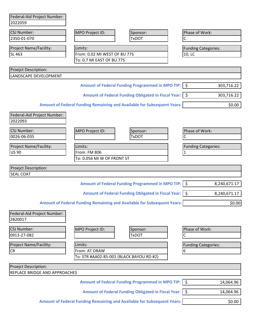| Federal-Aid Project Number:            |                              |                                                                                |                            |              |
|----------------------------------------|------------------------------|--------------------------------------------------------------------------------|----------------------------|--------------|
| 2022059                                |                              |                                                                                |                            |              |
| CSJ Number:                            | MPO Project ID:              | Sponsor:                                                                       | Phase of Work:             |              |
| 2350-01-070                            |                              | <b>TxDOT</b>                                                                   | C                          |              |
| Project Name/Facility:                 | Limits:                      |                                                                                | <b>Funding Categories:</b> |              |
| SL 463                                 | From: 0.02 MI WEST OF BU 77S |                                                                                | 10, LC                     |              |
|                                        | To: 0.7 MI EAST OF BU 77S    |                                                                                |                            |              |
| Proejct Description:                   |                              |                                                                                |                            |              |
| LANDSCAPE DEVELOPMENT                  |                              |                                                                                |                            |              |
|                                        |                              | Amount of Federal Funding Programmed in MPO TIP:   \$                          |                            | 303,716.22   |
|                                        |                              | Amount of Federal Funding Obligated in Fiscal Year:   \$                       |                            | 303,716.22   |
|                                        |                              | <b>Amount of Federal Funding Remaining and Available for Subsequent Years:</b> |                            | \$0.00       |
| Federal-Aid Project Number:<br>2022093 |                              |                                                                                |                            |              |
| <b>CSJ Number:</b>                     | MPO Project ID:              | Sponsor:                                                                       | Phase of Work:             |              |
| 0026-06-035                            |                              | <b>TxDOT</b>                                                                   | Ċ                          |              |
| Project Name/Facility:                 | Limits:                      |                                                                                | <b>Funding Categories:</b> |              |
| <b>US 90</b>                           | From: FM 806                 |                                                                                | $\mathbf{1}$               |              |
|                                        | To: 0.056 MI W OF FRONT ST   |                                                                                |                            |              |
| Proejct Description:                   |                              |                                                                                |                            |              |
| <b>SEAL COAT</b>                       |                              |                                                                                |                            |              |
|                                        |                              |                                                                                |                            |              |
|                                        |                              | Amount of Federal Funding Programmed in MPO TIP:   \$                          |                            | 8,240,671.17 |
|                                        |                              | Amount of Federal Funding Obligated in Fiscal Year:   \$                       |                            | 8,240,671.17 |
|                                        |                              | Amount of Federal Funding Remaining and Available for Subsequent Years:        |                            | \$0.00       |
| Federal-Aid Project Number:<br>2B20017 |                              |                                                                                |                            |              |
| <b>CSJ Number:</b>                     | MPO Project ID:              | Sponsor:                                                                       | Phase of Work:             |              |
| 0913-27-082                            |                              | <b>TxDOT</b>                                                                   | C                          |              |
| Project Name/Facility:                 | Limits:                      |                                                                                | <b>Funding Categories:</b> |              |
| CR                                     | From: AT DRAW                |                                                                                | 6                          |              |
|                                        |                              | To: STR #AA02-85-001 (BLACK BAYOU RD #2)                                       |                            |              |
| Proejct Description:                   |                              |                                                                                |                            |              |
| REPLACE BRIDGE AND APPROACHES          |                              |                                                                                |                            |              |
|                                        |                              | Amount of Federal Funding Programmed in MPO TIP:   \$                          |                            | 14,064.96    |
|                                        |                              |                                                                                |                            |              |
|                                        |                              | Amount of Federal Funding Obligated in Fiscal Year: \$                         |                            | 14,064.96    |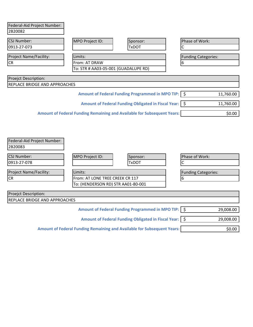| Federal-Aid Project Number:          |                                                                                |                                                          |                            |           |
|--------------------------------------|--------------------------------------------------------------------------------|----------------------------------------------------------|----------------------------|-----------|
| 2B20082                              |                                                                                |                                                          |                            |           |
|                                      |                                                                                |                                                          |                            |           |
| <b>CSJ Number:</b><br>0913-27-073    | MPO Project ID:                                                                | Sponsor:<br><b>TxDOT</b>                                 | Phase of Work:             |           |
|                                      |                                                                                |                                                          |                            |           |
| Project Name/Facility:               | Limits:                                                                        |                                                          | <b>Funding Categories:</b> |           |
| <b>CR</b>                            | <b>From: AT DRAW</b>                                                           |                                                          | 6                          |           |
|                                      | To: STR # AA03-05-001 (GUADALUPE RD)                                           |                                                          |                            |           |
| <b>Proejct Description:</b>          |                                                                                |                                                          |                            |           |
| <b>REPLACE BRIDGE AND APPROACHES</b> |                                                                                |                                                          |                            |           |
|                                      |                                                                                | Amount of Federal Funding Programmed in MPO TIP:   \$    |                            | 11,760.00 |
|                                      |                                                                                | Amount of Federal Funding Obligated in Fiscal Year:   \$ |                            | 11,760.00 |
|                                      | <b>Amount of Federal Funding Remaining and Available for Subsequent Years:</b> |                                                          |                            | \$0.00    |
|                                      |                                                                                |                                                          |                            |           |
|                                      |                                                                                |                                                          |                            |           |
|                                      |                                                                                |                                                          |                            |           |
| Federal-Aid Project Number:          |                                                                                |                                                          |                            |           |
| 2B20083                              |                                                                                |                                                          |                            |           |

| <b>CSJ Number:</b>                   | MPO Project ID:                    | Sponsor:                                                 | Phase of Work:             |           |
|--------------------------------------|------------------------------------|----------------------------------------------------------|----------------------------|-----------|
| 0913-27-078                          |                                    | <b>TxDOT</b>                                             |                            |           |
| Project Name/Facility:               | Limits:                            |                                                          | <b>Funding Categories:</b> |           |
| <b>CR</b>                            |                                    | From: AT LONE TREE CREEK CR 117<br>6                     |                            |           |
|                                      | To: (HENDERSON RD) STR AA01-80-001 |                                                          |                            |           |
| Proejct Description:                 |                                    |                                                          |                            |           |
| <b>REPLACE BRIDGE AND APPROACHES</b> |                                    |                                                          |                            |           |
|                                      |                                    | Amount of Federal Funding Programmed in MPO TIP:   \$    |                            | 29,008.00 |
|                                      |                                    | Amount of Federal Funding Obligated in Fiscal Year:   \$ |                            | 29,008.00 |

Amount of Federal Funding Remaining and Available for Subsequent Years: **\$0.00** \$0.00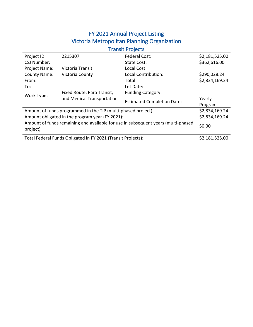## FY 2021 Annual Project Listing Victoria Metropolitan Planning Organization

| <b>Transit Projects</b>                                                                                 |                                                               |                                   |                |  |
|---------------------------------------------------------------------------------------------------------|---------------------------------------------------------------|-----------------------------------|----------------|--|
| Project ID:                                                                                             | 2215307                                                       | <b>Federal Cost:</b>              | \$2,181,525.00 |  |
| CSJ Number:                                                                                             |                                                               | State Cost:                       | \$362,616.00   |  |
| Project Name:                                                                                           | Victoria Transit                                              | Local Cost:                       |                |  |
| <b>County Name:</b>                                                                                     | Victoria County                                               | Local Contribution:               | \$290,028.24   |  |
| From:                                                                                                   |                                                               | Total:                            | \$2,834,169.24 |  |
| To:                                                                                                     |                                                               | Let Date:                         |                |  |
| Work Type:                                                                                              | Fixed Route, Para Transit,                                    | <b>Funding Category:</b>          |                |  |
|                                                                                                         | and Medical Transportation                                    | <b>Estimated Completion Date:</b> | Yearly         |  |
|                                                                                                         |                                                               |                                   | Program        |  |
|                                                                                                         | Amount of funds programmed in the TIP (multi-phased project): |                                   | \$2,834,169.24 |  |
| Amount obligated in the program year (FY 2021):                                                         |                                                               |                                   | \$2,834,169.24 |  |
| Amount of funds remaining and available for use in subsequent years (multi-phased<br>\$0.00<br>project) |                                                               |                                   |                |  |
| Total Federal Funds Obligated in FY 2021 (Transit Projects):                                            |                                                               |                                   | \$2,181,525.00 |  |